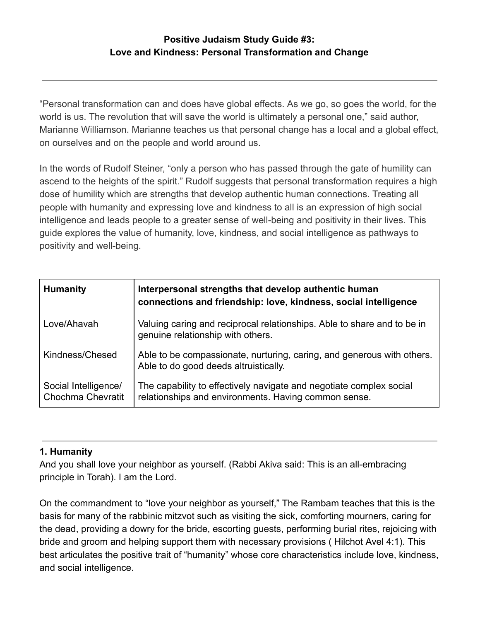# **Positive Judaism Study Guide #3: Love and Kindness: Personal Transformation and Change**

"Personal transformation can and does have global effects. As we go, so goes the world, for the world is us. The revolution that will save the world is ultimately a personal one," said author, Marianne Williamson. Marianne teaches us that personal change has a local and a global effect, on ourselves and on the people and world around us.

In the words of Rudolf Steiner, "only a person who has passed through the gate of humility can ascend to the heights of the spirit." Rudolf suggests that personal transformation requires a high dose of humility which are strengths that develop authentic human connections. Treating all people with humanity and expressing love and kindness to all is an expression of high social intelligence and leads people to a greater sense of well-being and positivity in their lives. This guide explores the value of humanity, love, kindness, and social intelligence as pathways to positivity and well-being.

| <b>Humanity</b>                           | Interpersonal strengths that develop authentic human<br>connections and friendship: love, kindness, social intelligence     |
|-------------------------------------------|-----------------------------------------------------------------------------------------------------------------------------|
| Love/Ahavah                               | Valuing caring and reciprocal relationships. Able to share and to be in<br>genuine relationship with others.                |
| Kindness/Chesed                           | Able to be compassionate, nurturing, caring, and generous with others.<br>Able to do good deeds altruistically.             |
| Social Intelligence/<br>Chochma Chevratit | The capability to effectively navigate and negotiate complex social<br>relationships and environments. Having common sense. |

## **1. Humanity**

And you shall love your neighbor as yourself. (Rabbi Akiva said: This is an all-embracing principle in Torah). I am the Lord.

On the commandment to "love your neighbor as yourself," The Rambam teaches that this is the basis for many of the rabbinic mitzvot such as visiting the sick, comforting mourners, caring for the dead, providing a dowry for the bride, escorting guests, performing burial rites, rejoicing with bride and groom and helping support them with necessary provisions ( Hilchot Avel 4:1). This best articulates the positive trait of "humanity" whose core characteristics include love, kindness, and social intelligence.